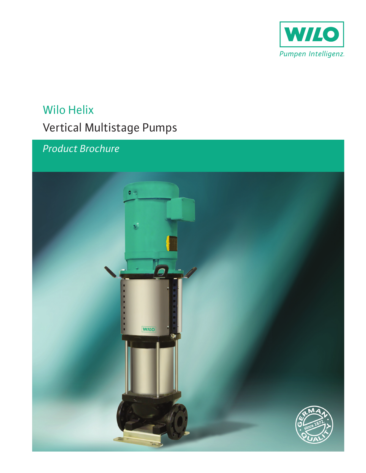

# **Wilo Helix** Vertical Multistage Pumps

## Product Brochure